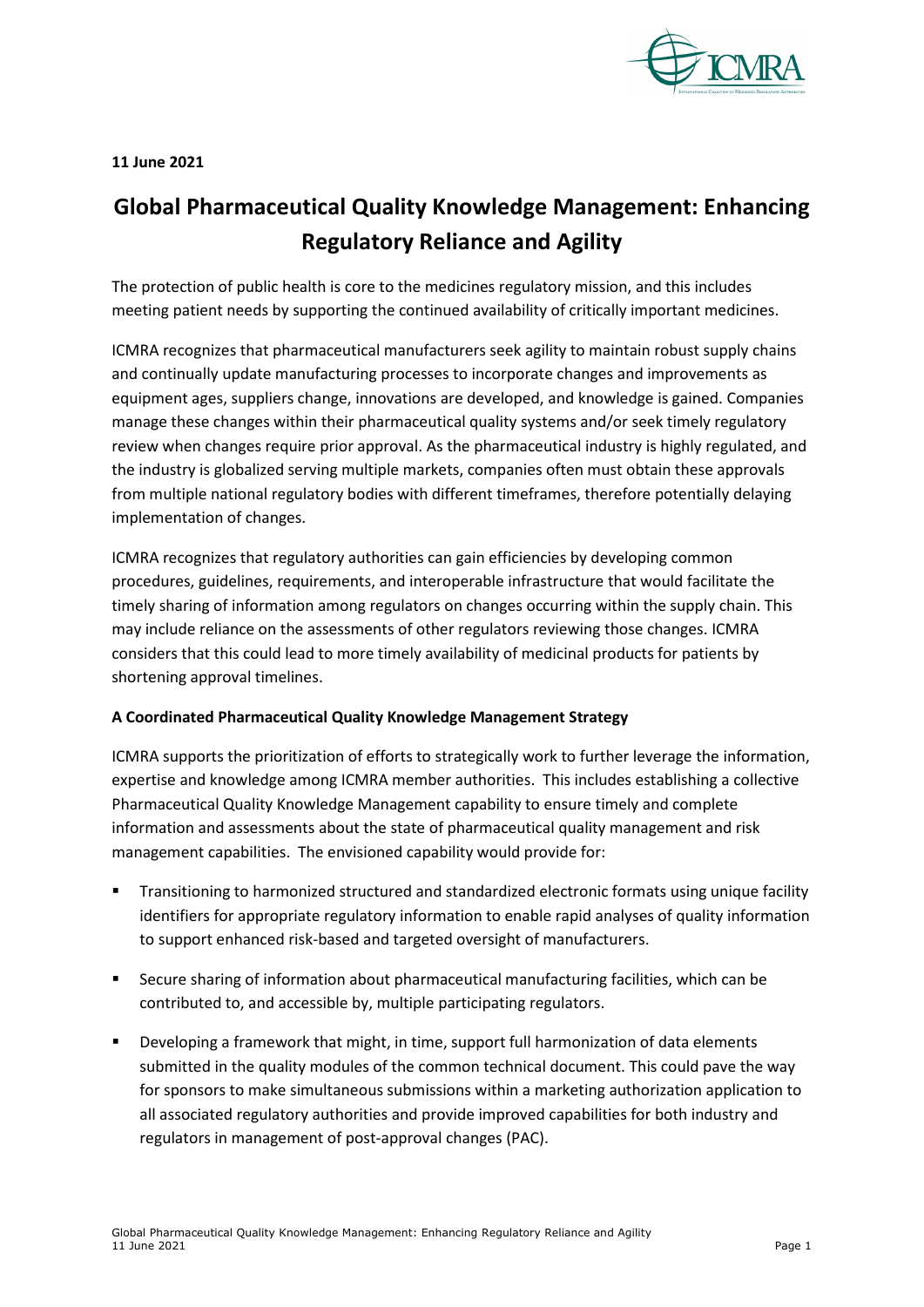

**11 June 2021**

## **Global Pharmaceutical Quality Knowledge Management: Enhancing Regulatory Reliance and Agility**

The protection of public health is core to the medicines regulatory mission, and this includes meeting patient needs by supporting the continued availability of critically important medicines.

ICMRA recognizes that pharmaceutical manufacturers seek agility to maintain robust supply chains and continually update manufacturing processes to incorporate changes and improvements as equipment ages, suppliers change, innovations are developed, and knowledge is gained. Companies manage these changes within their pharmaceutical quality systems and/or seek timely regulatory review when changes require prior approval. As the pharmaceutical industry is highly regulated, and the industry is globalized serving multiple markets, companies often must obtain these approvals from multiple national regulatory bodies with different timeframes, therefore potentially delaying implementation of changes.

ICMRA recognizes that regulatory authorities can gain efficiencies by developing common procedures, guidelines, requirements, and interoperable infrastructure that would facilitate the timely sharing of information among regulators on changes occurring within the supply chain. This may include reliance on the assessments of other regulators reviewing those changes. ICMRA considers that this could lead to more timely availability of medicinal products for patients by shortening approval timelines.

## **A Coordinated Pharmaceutical Quality Knowledge Management Strategy**

ICMRA supports the prioritization of efforts to strategically work to further leverage the information, expertise and knowledge among ICMRA member authorities. This includes establishing a collective Pharmaceutical Quality Knowledge Management capability to ensure timely and complete information and assessments about the state of pharmaceutical quality management and risk management capabilities. The envisioned capability would provide for:

- Transitioning to harmonized structured and standardized electronic formats using unique facility identifiers for appropriate regulatory information to enable rapid analyses of quality information to support enhanced risk-based and targeted oversight of manufacturers.
- Secure sharing of information about pharmaceutical manufacturing facilities, which can be contributed to, and accessible by, multiple participating regulators.
- Developing a framework that might, in time, support full harmonization of data elements submitted in the quality modules of the common technical document. This could pave the way for sponsors to make simultaneous submissions within a marketing authorization application to all associated regulatory authorities and provide improved capabilities for both industry and regulators in management of post-approval changes (PAC).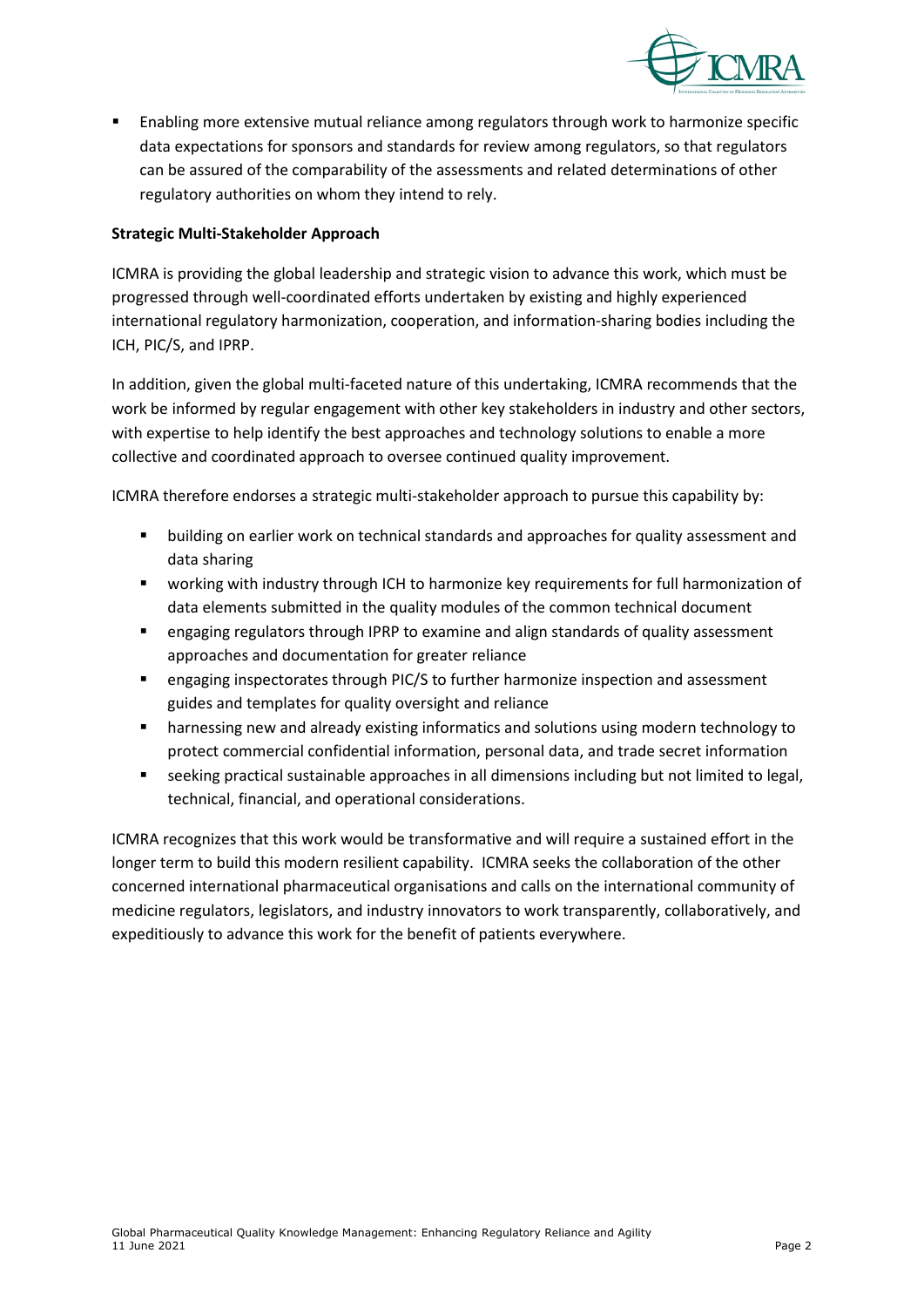

 Enabling more extensive mutual reliance among regulators through work to harmonize specific data expectations for sponsors and standards for review among regulators, so that regulators can be assured of the comparability of the assessments and related determinations of other regulatory authorities on whom they intend to rely.

## **Strategic Multi-Stakeholder Approach**

ICMRA is providing the global leadership and strategic vision to advance this work, which must be progressed through well-coordinated efforts undertaken by existing and highly experienced international regulatory harmonization, cooperation, and information-sharing bodies including the ICH, PIC/S, and IPRP.

In addition, given the global multi-faceted nature of this undertaking, ICMRA recommends that the work be informed by regular engagement with other key stakeholders in industry and other sectors, with expertise to help identify the best approaches and technology solutions to enable a more collective and coordinated approach to oversee continued quality improvement.

ICMRA therefore endorses a strategic multi-stakeholder approach to pursue this capability by:

- building on earlier work on technical standards and approaches for quality assessment and data sharing
- working with industry through ICH to harmonize key requirements for full harmonization of data elements submitted in the quality modules of the common technical document
- engaging regulators through IPRP to examine and align standards of quality assessment approaches and documentation for greater reliance
- engaging inspectorates through PIC/S to further harmonize inspection and assessment guides and templates for quality oversight and reliance
- harnessing new and already existing informatics and solutions using modern technology to protect commercial confidential information, personal data, and trade secret information
- seeking practical sustainable approaches in all dimensions including but not limited to legal, technical, financial, and operational considerations.

ICMRA recognizes that this work would be transformative and will require a sustained effort in the longer term to build this modern resilient capability. ICMRA seeks the collaboration of the other concerned international pharmaceutical organisations and calls on the international community of medicine regulators, legislators, and industry innovators to work transparently, collaboratively, and expeditiously to advance this work for the benefit of patients everywhere.